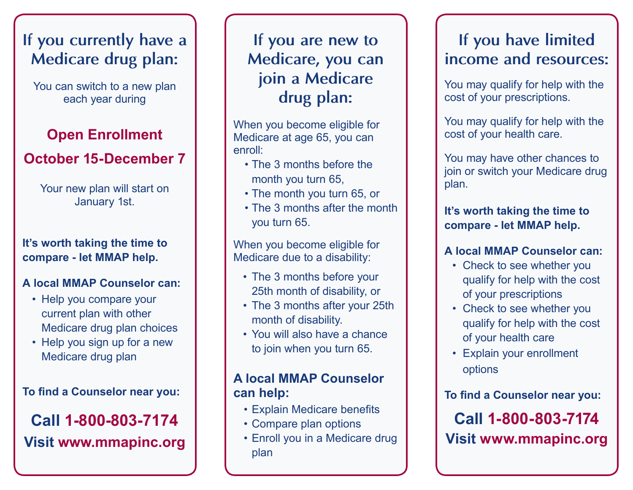# **If you currently have a Medicare drug plan:**

You can switch to a new plan each year during

### **Open Enrollment**

### **October 15-December 7**

#### Your new plan will start on January 1st.

#### **It's worth taking the time to compare - let MMAP help.**

### **A local MMAP Counselor can:**

- Help you compare your current plan with other Medicare drug plan choices
- Help you sign up for a new Medicare drug plan

#### **To find a Counselor near you:**

## **Call 1-800-803-7174 Visit www.mmapinc.org**

### **If you are new to Medicare, you can join a Medicare drug plan:**

When you become eligible for Medicare at age 65, you can enroll:

- The 3 months before the month you turn 65,
- The month you turn 65, or
- The 3 months after the month you turn 65.

When you become eligible for Medicare due to a disability:

- The 3 months before your 25th month of disability, or
- The 3 months after your 25th month of disability.
- You will also have a chance to join when you turn 65.

### **A local MMAP Counselor can help:**

- • Explain Medicare benefits
- • Compare plan options
- Enroll you in a Medicare drug plan

### **If you have limited income and resources:**

You may qualify for help with the cost of your prescriptions.

You may qualify for help with the cost of your health care.

You may have other chances to join or switch your Medicare drug plan.

### **It's worth taking the time to compare - let MMAP help.**

### **A local MMAP Counselor can:**

- Check to see whether you qualify for help with the cost of your prescriptions
- Check to see whether you qualify for help with the cost of your health care
- Explain your enrollment options

### **To find a Counselor near you:**

**Call 1-800-803-7174 Visit www.mmapinc.org**